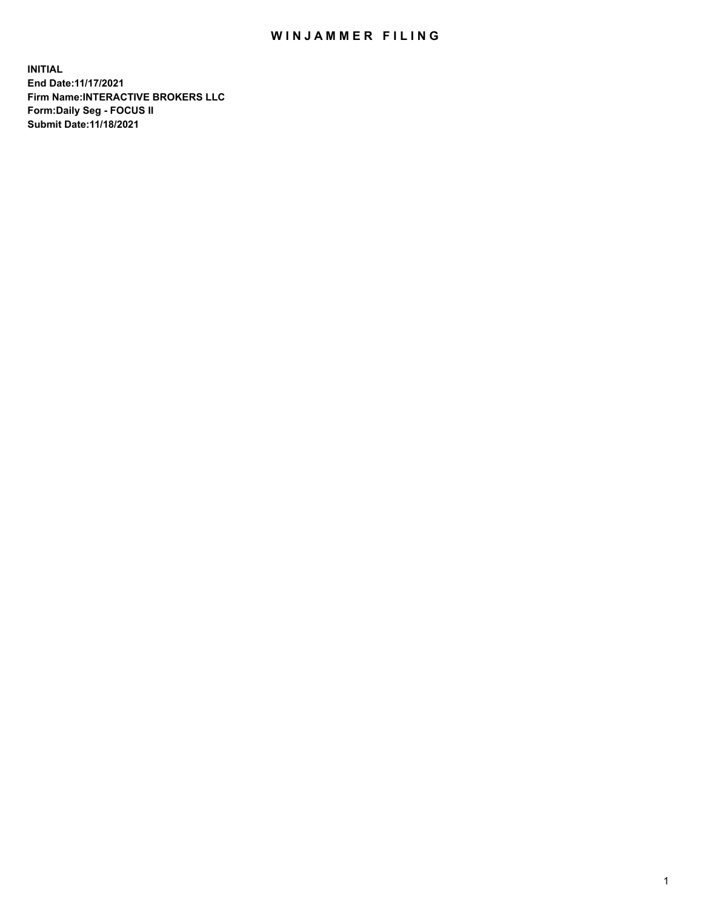## WIN JAMMER FILING

**INITIAL End Date:11/17/2021 Firm Name:INTERACTIVE BROKERS LLC Form:Daily Seg - FOCUS II Submit Date:11/18/2021**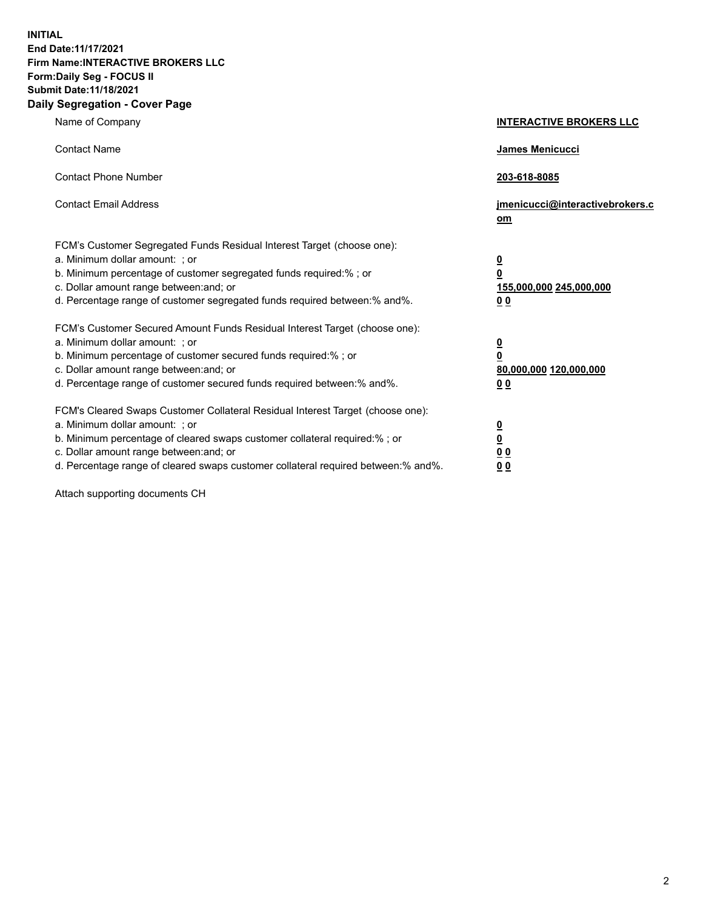**INITIAL End Date:11/17/2021 Firm Name:INTERACTIVE BROKERS LLC Form:Daily Seg - FOCUS II Submit Date:11/18/2021 Daily Segregation - Cover Page**

| Name of Company                                                                                                                                                                                                                                                                                                                | <b>INTERACTIVE BROKERS LLC</b>                                                                           |
|--------------------------------------------------------------------------------------------------------------------------------------------------------------------------------------------------------------------------------------------------------------------------------------------------------------------------------|----------------------------------------------------------------------------------------------------------|
| <b>Contact Name</b>                                                                                                                                                                                                                                                                                                            | James Menicucci                                                                                          |
| <b>Contact Phone Number</b>                                                                                                                                                                                                                                                                                                    | 203-618-8085                                                                                             |
| <b>Contact Email Address</b>                                                                                                                                                                                                                                                                                                   | jmenicucci@interactivebrokers.c<br>om                                                                    |
| FCM's Customer Segregated Funds Residual Interest Target (choose one):<br>a. Minimum dollar amount: ; or<br>b. Minimum percentage of customer segregated funds required:% ; or<br>c. Dollar amount range between: and; or<br>d. Percentage range of customer segregated funds required between:% and%.                         | $\overline{\mathbf{0}}$<br>$\overline{\mathbf{0}}$<br>155,000,000 245,000,000<br>0 <sub>0</sub>          |
| FCM's Customer Secured Amount Funds Residual Interest Target (choose one):<br>a. Minimum dollar amount: ; or<br>b. Minimum percentage of customer secured funds required:%; or<br>c. Dollar amount range between: and; or<br>d. Percentage range of customer secured funds required between:% and%.                            | $\overline{\mathbf{0}}$<br>$\overline{\mathbf{0}}$<br>80,000,000 120,000,000<br>00                       |
| FCM's Cleared Swaps Customer Collateral Residual Interest Target (choose one):<br>a. Minimum dollar amount: ; or<br>b. Minimum percentage of cleared swaps customer collateral required:% ; or<br>c. Dollar amount range between: and; or<br>d. Percentage range of cleared swaps customer collateral required between:% and%. | $\overline{\mathbf{0}}$<br>$\underline{\mathbf{0}}$<br>$\underline{0}$ $\underline{0}$<br>0 <sub>0</sub> |

Attach supporting documents CH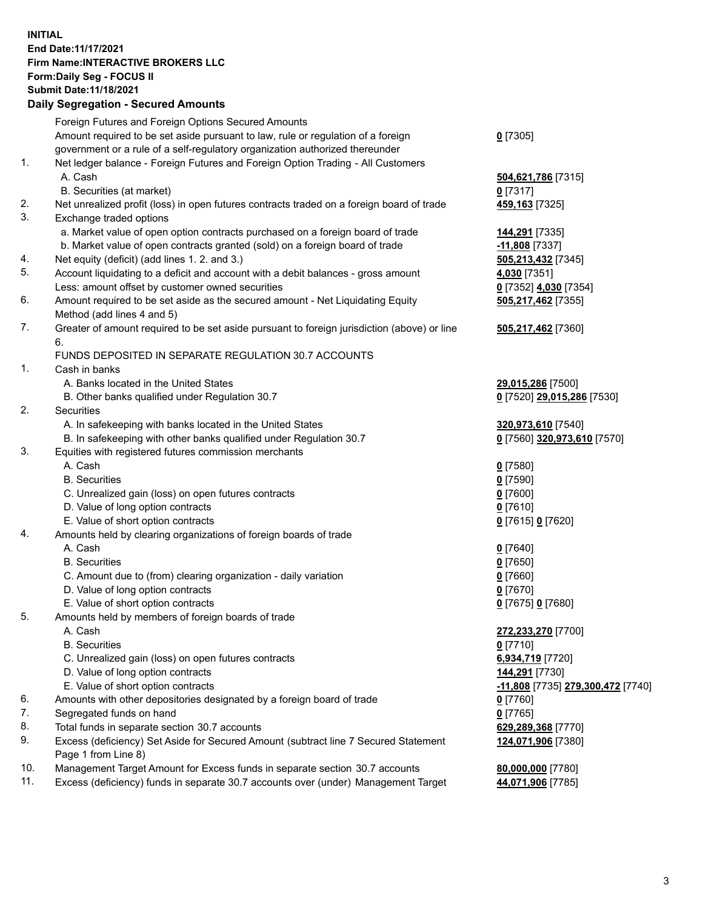## **INITIAL End Date:11/17/2021 Firm Name:INTERACTIVE BROKERS LLC Form:Daily Seg - FOCUS II Submit Date:11/18/2021 Daily Segregation - Secured Amounts**

|     | Dany Ocgregation - Occurea Anioants                                                               |                                                |
|-----|---------------------------------------------------------------------------------------------------|------------------------------------------------|
|     | Foreign Futures and Foreign Options Secured Amounts                                               |                                                |
|     | Amount required to be set aside pursuant to law, rule or regulation of a foreign                  | $0$ [7305]                                     |
|     | government or a rule of a self-regulatory organization authorized thereunder                      |                                                |
| 1.  | Net ledger balance - Foreign Futures and Foreign Option Trading - All Customers                   |                                                |
|     | A. Cash                                                                                           | 504,621,786 [7315]                             |
|     | B. Securities (at market)                                                                         | $0$ [7317]                                     |
| 2.  | Net unrealized profit (loss) in open futures contracts traded on a foreign board of trade         | 459,163 [7325]                                 |
| 3.  | Exchange traded options                                                                           |                                                |
|     | a. Market value of open option contracts purchased on a foreign board of trade                    | 144,291 [7335]                                 |
|     | b. Market value of open contracts granted (sold) on a foreign board of trade                      | -11,808 [7337]                                 |
| 4.  | Net equity (deficit) (add lines 1. 2. and 3.)                                                     | 505,213,432 [7345]                             |
| 5.  | Account liquidating to a deficit and account with a debit balances - gross amount                 | 4,030 [7351]                                   |
|     | Less: amount offset by customer owned securities                                                  | 0 [7352] 4,030 [7354]                          |
| 6.  | Amount required to be set aside as the secured amount - Net Liquidating Equity                    | 505,217,462 [7355]                             |
|     | Method (add lines 4 and 5)                                                                        |                                                |
| 7.  | Greater of amount required to be set aside pursuant to foreign jurisdiction (above) or line<br>6. | 505,217,462 [7360]                             |
|     | FUNDS DEPOSITED IN SEPARATE REGULATION 30.7 ACCOUNTS                                              |                                                |
| 1.  | Cash in banks                                                                                     |                                                |
|     | A. Banks located in the United States                                                             | 29,015,286 [7500]                              |
|     | B. Other banks qualified under Regulation 30.7                                                    | 0 [7520] 29,015,286 [7530]                     |
| 2.  | Securities                                                                                        |                                                |
|     | A. In safekeeping with banks located in the United States                                         | 320,973,610 [7540]                             |
|     | B. In safekeeping with other banks qualified under Regulation 30.7                                | 0 [7560] 320,973,610 [7570]                    |
| 3.  | Equities with registered futures commission merchants                                             |                                                |
|     | A. Cash                                                                                           | $0$ [7580]                                     |
|     | <b>B.</b> Securities                                                                              | $0$ [7590]                                     |
|     | C. Unrealized gain (loss) on open futures contracts                                               | $0$ [7600]                                     |
|     | D. Value of long option contracts                                                                 | $0$ [7610]                                     |
|     | E. Value of short option contracts                                                                | 0 [7615] 0 [7620]                              |
| 4.  | Amounts held by clearing organizations of foreign boards of trade                                 |                                                |
|     | A. Cash                                                                                           | $0$ [7640]                                     |
|     | <b>B.</b> Securities                                                                              | $0$ [7650]                                     |
|     | C. Amount due to (from) clearing organization - daily variation                                   | $0$ [7660]                                     |
|     | D. Value of long option contracts                                                                 | $0$ [7670]                                     |
|     | E. Value of short option contracts                                                                | 0 [7675] 0 [7680]                              |
| 5.  | Amounts held by members of foreign boards of trade                                                |                                                |
|     | A. Cash                                                                                           | 272,233,270 [7700]                             |
|     | <b>B.</b> Securities                                                                              | $0$ [7710]                                     |
|     | C. Unrealized gain (loss) on open futures contracts                                               | 6,934,719 [7720]                               |
|     | D. Value of long option contracts                                                                 | 144,291 [7730]                                 |
|     | E. Value of short option contracts                                                                | <mark>-11,808</mark> [7735] 279,300,472 [7740] |
| 6.  | Amounts with other depositories designated by a foreign board of trade                            | 0 [7760]                                       |
| 7.  | Segregated funds on hand                                                                          | $0$ [7765]                                     |
| 8.  | Total funds in separate section 30.7 accounts                                                     | 629,289,368 [7770]                             |
| 9.  | Excess (deficiency) Set Aside for Secured Amount (subtract line 7 Secured Statement               | 124,071,906 [7380]                             |
|     | Page 1 from Line 8)                                                                               |                                                |
| 10. | Management Target Amount for Excess funds in separate section 30.7 accounts                       | 80,000,000 [7780]                              |
| 11. | Excess (deficiency) funds in separate 30.7 accounts over (under) Management Target                | 44,071,906 [7785]                              |
|     |                                                                                                   |                                                |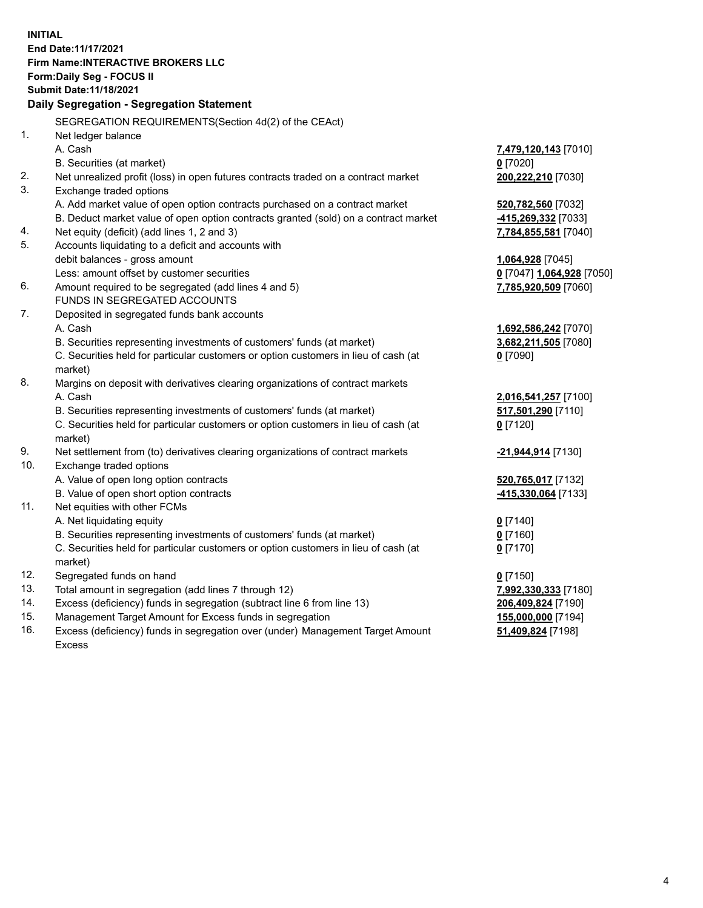**INITIAL End Date:11/17/2021 Firm Name:INTERACTIVE BROKERS LLC Form:Daily Seg - FOCUS II Submit Date:11/18/2021 Daily Segregation - Segregation Statement** SEGREGATION REQUIREMENTS(Section 4d(2) of the CEAct) 1. Net ledger balance A. Cash **7,479,120,143** [7010] B. Securities (at market) **0** [7020] 2. Net unrealized profit (loss) in open futures contracts traded on a contract market **200,222,210** [7030] 3. Exchange traded options A. Add market value of open option contracts purchased on a contract market **520,782,560** [7032] B. Deduct market value of open option contracts granted (sold) on a contract market **-415,269,332** [7033] 4. Net equity (deficit) (add lines 1, 2 and 3) **7,784,855,581** [7040] 5. Accounts liquidating to a deficit and accounts with debit balances - gross amount **1,064,928** [7045] Less: amount offset by customer securities **0** [7047] **1,064,928** [7050] 6. Amount required to be segregated (add lines 4 and 5) **7,785,920,509** [7060] FUNDS IN SEGREGATED ACCOUNTS 7. Deposited in segregated funds bank accounts A. Cash **1,692,586,242** [7070] B. Securities representing investments of customers' funds (at market) **3,682,211,505** [7080] C. Securities held for particular customers or option customers in lieu of cash (at market) **0** [7090] 8. Margins on deposit with derivatives clearing organizations of contract markets A. Cash **2,016,541,257** [7100] B. Securities representing investments of customers' funds (at market) **517,501,290** [7110] C. Securities held for particular customers or option customers in lieu of cash (at market) **0** [7120] 9. Net settlement from (to) derivatives clearing organizations of contract markets **-21,944,914** [7130] 10. Exchange traded options A. Value of open long option contracts **520,765,017** [7132] B. Value of open short option contracts **-415,330,064** [7133] 11. Net equities with other FCMs A. Net liquidating equity **0** [7140] B. Securities representing investments of customers' funds (at market) **0** [7160] C. Securities held for particular customers or option customers in lieu of cash (at market) **0** [7170] 12. Segregated funds on hand **0** [7150] 13. Total amount in segregation (add lines 7 through 12) **7,992,330,333** [7180] 14. Excess (deficiency) funds in segregation (subtract line 6 from line 13) **206,409,824** [7190] 15. Management Target Amount for Excess funds in segregation **155,000,000** [7194] **51,409,824** [7198]

16. Excess (deficiency) funds in segregation over (under) Management Target Amount Excess